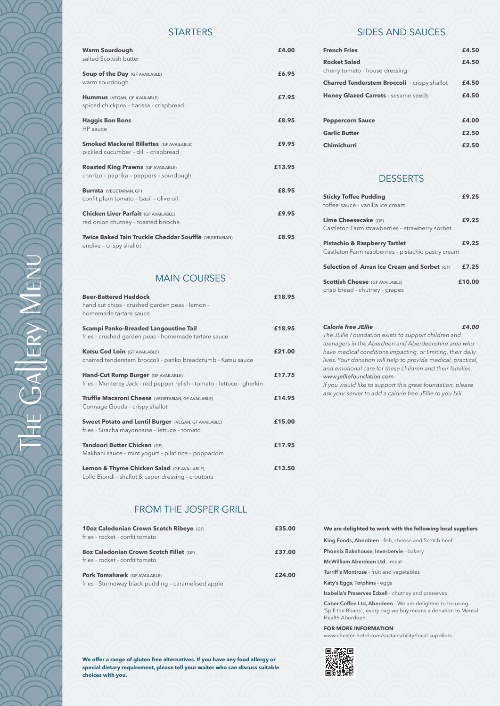### **STARTERS**

| <b>Warm Sourdough</b><br>salted Scottish butter                                         | £4.00  |
|-----------------------------------------------------------------------------------------|--------|
| <b>Soup of the Day (GF AVAILABLE)</b><br>warm sourdough                                 | £6.95  |
| <b>Hummus</b> (VEGAN, GF AVAILABLE)<br>spiced chickpea - harissa - crispbread           | £7.95  |
| <b>Haggis Bon Bons</b><br>HP sauce                                                      | £8.95  |
| <b>Smoked Mackerel Rillettes (GF AVAILABLE)</b><br>pickled cucumber - dill - crispbread | £9.95  |
| <b>Roasted King Prawns (GF AVAILABLE)</b><br>chorizo - paprika - peppers - sourdough    | £13.95 |
| <b>Burrata</b> (VEGETARIAN, GF)<br>confit plum tomato - basil - olive oil               | £8.95  |
| <b>Chicken Liver Parfait (GF AVAILABLE)</b><br>red onion chutney - toasted brioche      | £9.95  |
| Twice Baked Tain Truckle Cheddar Soufflé (VEGETARIAN)<br>endive - crispy shallot        | £8.95  |

### MAIN COURSES

**Pork Tomahawk** (GF AVAILABLE) **£24.00** fries - Stornoway black pudding – caramelised apple

| <b>Beer-Battered Haddock</b><br>hand cut chips - crushed garden peas - lemon -<br>homemade tartare sauce      | £18.95 |
|---------------------------------------------------------------------------------------------------------------|--------|
| <b>Scampi Panko-Breaded Langoustine Tail</b><br>fries - crushed garden peas - homemade tartare sauce          | £18.95 |
| <b>Katsu Cod Loin (GF AVAILABLE)</b><br>charred tenderstem broccoli - panko breadcrumb - Katsu sauce          | £21.00 |
| Hand-Cut Rump Burger (GF AVAILABLE)<br>fries - Monterey Jack - red pepper relish - tomato - lettuce - gherkin | £17.75 |
| Truffle Macaroni Cheese (VEGETARIAN, GF AVAILABLE)<br>Connage Gouda - crispy shallot                          | £14.95 |
| <b>Sweet Potato and Lentil Burger (VEGAN, GF AVAILABLE)</b><br>fries - Siracha mayonnaise - lettuce - tomato  | £15.00 |
| Tandoori Butter Chicken (GF)<br>Makhani sauce - mint yogurt - pilaf rice - poppadom                           | £17.95 |
| Lemon & Thyme Chicken Salad (GF AVAILABLE)<br>Lollo Biondi - shallot & caper dressing - croutons              | £13.50 |

# FROM THE JOSPER GRILL

fries - rocket - confit tomato

## **8oz Caledonian Crown Scotch Fillet** (GF) **£37.00**

fries - rocket - confit tomato

## SIDES AND SAUCES

| <b>French Fries</b>                                                                             | £4.50 |
|-------------------------------------------------------------------------------------------------|-------|
| <b>Rocket Salad</b><br>cherry tomato - house dressing                                           | £4.50 |
| <b>Charred Tenderstem Broccoli</b> - crispy shallot                                             | £4.50 |
| Honey Glazed Carrots - sesame seeds                                                             | £4.50 |
| <b>Peppercorn Sauce</b>                                                                         | £4.00 |
| <b>Garlic Butter</b>                                                                            | £2.50 |
| <b>Chimichurri</b>                                                                              | £2.50 |
|                                                                                                 |       |
|                                                                                                 |       |
| <b>Sticky Toffee Pudding</b><br>toffee sauce - vanilla ice cream                                | £9.25 |
| Lime Cheesecake (GF)<br>Castleton Farm strawberries - strawberry sorbet                         | £9.25 |
| <b>Pistachio &amp; Raspberry Tartlet</b><br>Castleton Farm raspberries - pistachio pastry cream | £9.25 |
| Selection of Arran Ice Cream and Sorbet (GF)                                                    | £7.25 |

| <b>Calorie free JEllie</b>                                    |  |
|---------------------------------------------------------------|--|
| The JEllie Foundation exists to support children and          |  |
| teenagers in the Aberdeen and Aberdeenshire area who          |  |
| have medical conditions impacting, or limiting, their daily   |  |
| lives. Your donation will help to provide medical, practical, |  |
| and emotional care for these children and their families.     |  |
| www.jelliefoundation.com                                      |  |
| If you would like to support this great foundation, please    |  |
| ask your server to add a calorie free JEllie to you bill      |  |
|                                                               |  |



**King Foods, Aberdeen** - fish, cheese and Scotch beef **Phoenix Bakehouse, Inverbervie** - bakery **McWilliam Aberdeen Ltd** - meat **Turriff's Montrose** - fruit and vegetables **Katy's Eggs, Torphins** - eggs **Isabella's Preserves Edzell** - chutney and preserves

**Caber Coffee Ltd, Aberdeen** - We are delighted to be using 'Spill the Beans' , every bag we buy means a donation to Mental Health Aberdeen.

#### **FOR MORE INFORMATION**

www.chester-hotel.com/sustainability/local-suppliers



**We offer a range of gluten free alternatives. If you have any food allergy or special dietary requirement, please tell your waiter who can discuss suitable choices with you.**

Menu

 $\blacksquare$